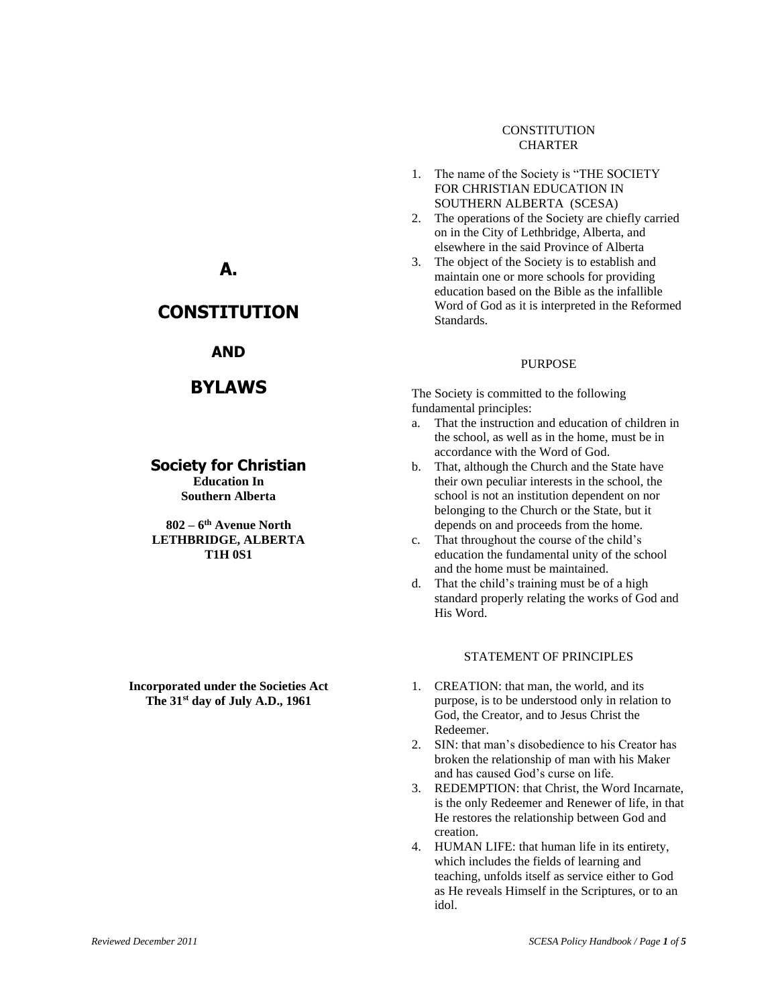## **CONSTITUTION** CHARTER

- 1. The name of the Society is "THE SOCIETY FOR CHRISTIAN EDUCATION IN SOUTHERN ALBERTA (SCESA)
- 2. The operations of the Society are chiefly carried on in the City of Lethbridge, Alberta, and elsewhere in the said Province of Alberta
- 3. The object of the Society is to establish and maintain one or more schools for providing education based on the Bible as the infallible Word of God as it is interpreted in the Reformed Standards.

#### PURPOSE

The Society is committed to the following fundamental principles:

- a. That the instruction and education of children in the school, as well as in the home, must be in accordance with the Word of God.
- b. That, although the Church and the State have their own peculiar interests in the school, the school is not an institution dependent on nor belonging to the Church or the State, but it depends on and proceeds from the home.
- c. That throughout the course of the child's education the fundamental unity of the school and the home must be maintained.
- d. That the child's training must be of a high standard properly relating the works of God and His Word.

### STATEMENT OF PRINCIPLES

- 1. CREATION: that man, the world, and its purpose, is to be understood only in relation to God, the Creator, and to Jesus Christ the Redeemer.
- 2. SIN: that man's disobedience to his Creator has broken the relationship of man with his Maker and has caused God's curse on life.
- 3. REDEMPTION: that Christ, the Word Incarnate, is the only Redeemer and Renewer of life, in that He restores the relationship between God and creation.
- 4. HUMAN LIFE: that human life in its entirety, which includes the fields of learning and teaching, unfolds itself as service either to God as He reveals Himself in the Scriptures, or to an idol.

# **A.**

# **CONSTITUTION**

# **AND**

# **BYLAWS**

# **Society for Christian**

**Education In Southern Alberta**

**802 – 6 th Avenue North LETHBRIDGE, ALBERTA T1H 0S1**

**Incorporated under the Societies Act The 31st day of July A.D., 1961**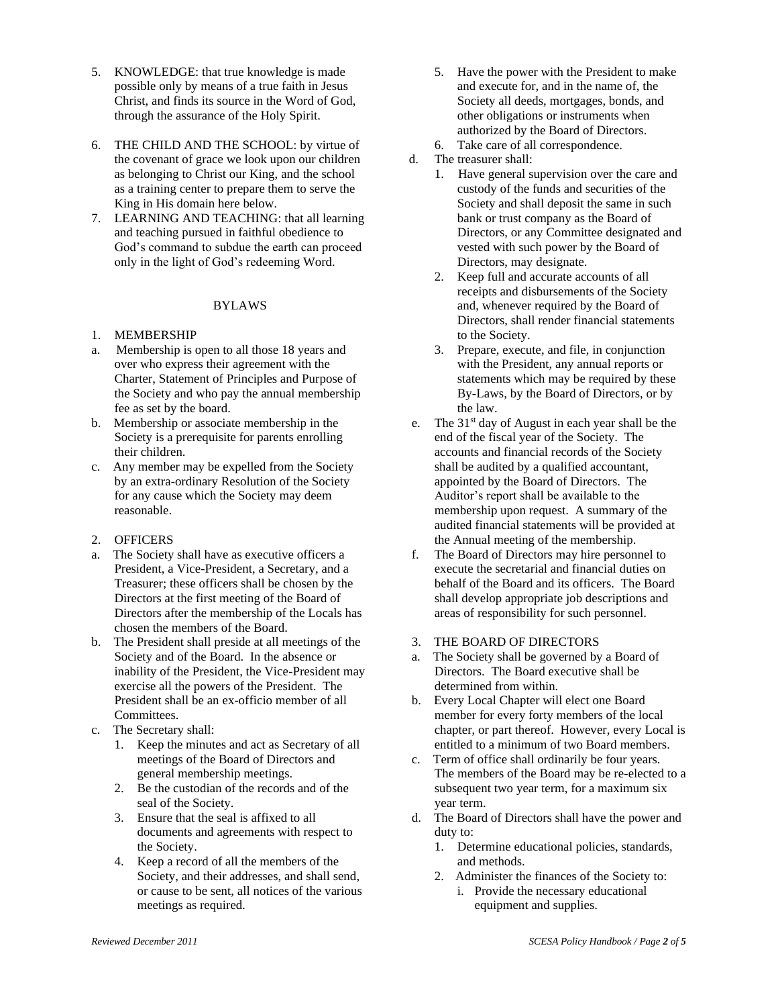- 5. KNOWLEDGE: that true knowledge is made possible only by means of a true faith in Jesus Christ, and finds its source in the Word of God, through the assurance of the Holy Spirit.
- 6. THE CHILD AND THE SCHOOL: by virtue of the covenant of grace we look upon our children as belonging to Christ our King, and the school as a training center to prepare them to serve the King in His domain here below.
- 7. LEARNING AND TEACHING: that all learning and teaching pursued in faithful obedience to God's command to subdue the earth can proceed only in the light of God's redeeming Word.

### BYLAWS

### 1. MEMBERSHIP

- a. Membership is open to all those 18 years and over who express their agreement with the Charter, Statement of Principles and Purpose of the Society and who pay the annual membership fee as set by the board.
- b. Membership or associate membership in the Society is a prerequisite for parents enrolling their children.
- c. Any member may be expelled from the Society by an extra-ordinary Resolution of the Society for any cause which the Society may deem reasonable.
- 2. OFFICERS
- a. The Society shall have as executive officers a President, a Vice-President, a Secretary, and a Treasurer; these officers shall be chosen by the Directors at the first meeting of the Board of Directors after the membership of the Locals has chosen the members of the Board.
- b. The President shall preside at all meetings of the Society and of the Board. In the absence or inability of the President, the Vice-President may exercise all the powers of the President. The President shall be an ex-officio member of all Committees.
- c. The Secretary shall:
	- 1. Keep the minutes and act as Secretary of all meetings of the Board of Directors and general membership meetings.
	- 2. Be the custodian of the records and of the seal of the Society.
	- 3. Ensure that the seal is affixed to all documents and agreements with respect to the Society.
	- 4. Keep a record of all the members of the Society, and their addresses, and shall send, or cause to be sent, all notices of the various meetings as required.
- 5. Have the power with the President to make and execute for, and in the name of, the Society all deeds, mortgages, bonds, and other obligations or instruments when authorized by the Board of Directors.
- 6. Take care of all correspondence.
- d. The treasurer shall:
	- 1. Have general supervision over the care and custody of the funds and securities of the Society and shall deposit the same in such bank or trust company as the Board of Directors, or any Committee designated and vested with such power by the Board of Directors, may designate.
	- 2. Keep full and accurate accounts of all receipts and disbursements of the Society and, whenever required by the Board of Directors, shall render financial statements to the Society.
	- 3. Prepare, execute, and file, in conjunction with the President, any annual reports or statements which may be required by these By-Laws, by the Board of Directors, or by the law.
- e. The  $31<sup>st</sup>$  day of August in each year shall be the end of the fiscal year of the Society. The accounts and financial records of the Society shall be audited by a qualified accountant, appointed by the Board of Directors. The Auditor's report shall be available to the membership upon request. A summary of the audited financial statements will be provided at the Annual meeting of the membership.
- f. The Board of Directors may hire personnel to execute the secretarial and financial duties on behalf of the Board and its officers. The Board shall develop appropriate job descriptions and areas of responsibility for such personnel.
- 3. THE BOARD OF DIRECTORS
- a. The Society shall be governed by a Board of Directors. The Board executive shall be determined from within.
- b. Every Local Chapter will elect one Board member for every forty members of the local chapter, or part thereof. However, every Local is entitled to a minimum of two Board members.
- c. Term of office shall ordinarily be four years. The members of the Board may be re-elected to a subsequent two year term, for a maximum six year term.
- d. The Board of Directors shall have the power and duty to:
	- 1. Determine educational policies, standards, and methods.
	- 2. Administer the finances of the Society to:
		- i. Provide the necessary educational equipment and supplies.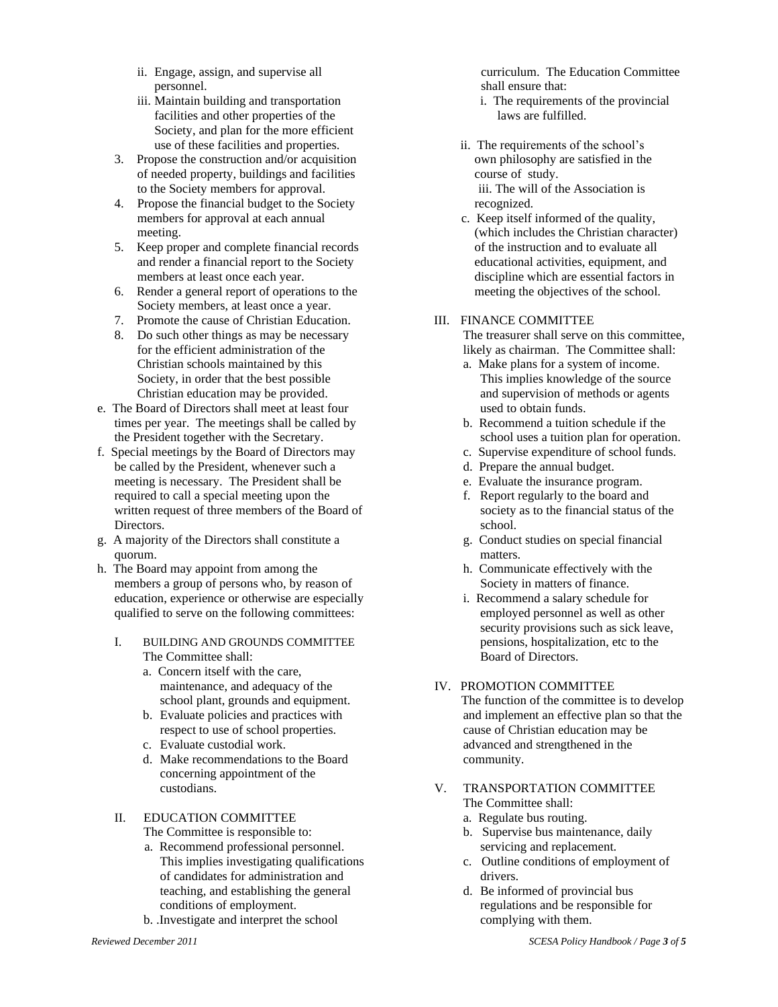- ii. Engage, assign, and supervise all personnel.
- iii. Maintain building and transportation facilities and other properties of the Society, and plan for the more efficient use of these facilities and properties.
- 3. Propose the construction and/or acquisition of needed property, buildings and facilities to the Society members for approval.
- 4. Propose the financial budget to the Society members for approval at each annual meeting.
- 5. Keep proper and complete financial records and render a financial report to the Society members at least once each year.
- 6. Render a general report of operations to the Society members, at least once a year.
- 7. Promote the cause of Christian Education.
- 8. Do such other things as may be necessary for the efficient administration of the Christian schools maintained by this Society, in order that the best possible Christian education may be provided.
- e. The Board of Directors shall meet at least four times per year. The meetings shall be called by the President together with the Secretary.
- f. Special meetings by the Board of Directors may be called by the President, whenever such a meeting is necessary. The President shall be required to call a special meeting upon the written request of three members of the Board of Directors.
- g. A majority of the Directors shall constitute a quorum.
- h. The Board may appoint from among the members a group of persons who, by reason of education, experience or otherwise are especially qualified to serve on the following committees:
	- I. BUILDING AND GROUNDS COMMITTEE The Committee shall:
		- a. Concern itself with the care, maintenance, and adequacy of the school plant, grounds and equipment.
		- b. Evaluate policies and practices with respect to use of school properties.
		- c. Evaluate custodial work.
		- d. Make recommendations to the Board concerning appointment of the custodians.
	- II. EDUCATION COMMITTEE The Committee is responsible to:
		- a. Recommend professional personnel. This implies investigating qualifications of candidates for administration and teaching, and establishing the general conditions of employment.
		- b. .Investigate and interpret the school

 curriculum. The Education Committee shall ensure that:

- i. The requirements of the provincial laws are fulfilled.
- ii. The requirements of the school's own philosophy are satisfied in the course of study. iii. The will of the Association is recognized.
- c. Keep itself informed of the quality, (which includes the Christian character) of the instruction and to evaluate all educational activities, equipment, and discipline which are essential factors in meeting the objectives of the school.

## III. FINANCE COMMITTEE

The treasurer shall serve on this committee, likely as chairman. The Committee shall:

- a. Make plans for a system of income. This implies knowledge of the source and supervision of methods or agents used to obtain funds.
- b. Recommend a tuition schedule if the school uses a tuition plan for operation.
- c. Supervise expenditure of school funds.
- d. Prepare the annual budget.
- e. Evaluate the insurance program.
- f. Report regularly to the board and society as to the financial status of the school.
- g. Conduct studies on special financial matters.
- h. Communicate effectively with the Society in matters of finance.
- i. Recommend a salary schedule for employed personnel as well as other security provisions such as sick leave, pensions, hospitalization, etc to the Board of Directors.

# IV. PROMOTION COMMITTEE

 The function of the committee is to develop and implement an effective plan so that the cause of Christian education may be advanced and strengthened in the community.

- V. TRANSPORTATION COMMITTEE The Committee shall:
	- a. Regulate bus routing.
	- b. Supervise bus maintenance, daily servicing and replacement.
	- c. Outline conditions of employment of drivers.
	- d. Be informed of provincial bus regulations and be responsible for complying with them.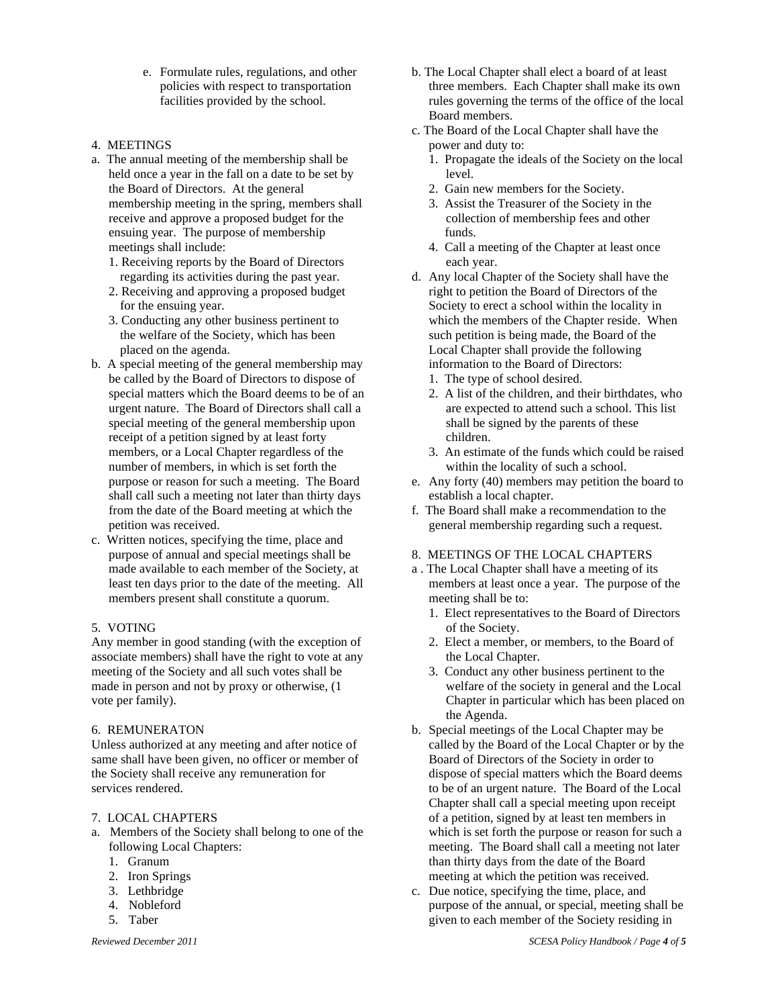- e. Formulate rules, regulations, and other policies with respect to transportation facilities provided by the school.
- 4. MEETINGS
- a. The annual meeting of the membership shall be held once a year in the fall on a date to be set by the Board of Directors. At the general membership meeting in the spring, members shall receive and approve a proposed budget for the ensuing year. The purpose of membership meetings shall include:
	- 1. Receiving reports by the Board of Directors regarding its activities during the past year.
	- 2. Receiving and approving a proposed budget for the ensuing year.
	- 3. Conducting any other business pertinent to the welfare of the Society, which has been placed on the agenda.
- b. A special meeting of the general membership may be called by the Board of Directors to dispose of special matters which the Board deems to be of an urgent nature. The Board of Directors shall call a special meeting of the general membership upon receipt of a petition signed by at least forty members, or a Local Chapter regardless of the number of members, in which is set forth the purpose or reason for such a meeting. The Board shall call such a meeting not later than thirty days from the date of the Board meeting at which the petition was received.
- c. Written notices, specifying the time, place and purpose of annual and special meetings shall be made available to each member of the Society, at least ten days prior to the date of the meeting. All members present shall constitute a quorum.

### 5. VOTING

Any member in good standing (with the exception of associate members) shall have the right to vote at any meeting of the Society and all such votes shall be made in person and not by proxy or otherwise, (1 vote per family).

### 6. REMUNERATON

Unless authorized at any meeting and after notice of same shall have been given, no officer or member of the Society shall receive any remuneration for services rendered.

## 7. LOCAL CHAPTERS

- a. Members of the Society shall belong to one of the following Local Chapters:
	- 1. Granum
	- 2. Iron Springs
	- 3. Lethbridge
	- 4. Nobleford
	- 5. Taber
- b. The Local Chapter shall elect a board of at least three members. Each Chapter shall make its own rules governing the terms of the office of the local Board members.
- c. The Board of the Local Chapter shall have the power and duty to:
	- 1. Propagate the ideals of the Society on the local level.
	- 2. Gain new members for the Society.
	- 3. Assist the Treasurer of the Society in the collection of membership fees and other funds.
	- 4. Call a meeting of the Chapter at least once each year.
- d. Any local Chapter of the Society shall have the right to petition the Board of Directors of the Society to erect a school within the locality in which the members of the Chapter reside. When such petition is being made, the Board of the Local Chapter shall provide the following information to the Board of Directors:
	- 1. The type of school desired.
	- 2. A list of the children, and their birthdates, who are expected to attend such a school. This list shall be signed by the parents of these children.
	- 3. An estimate of the funds which could be raised within the locality of such a school.
- e. Any forty (40) members may petition the board to establish a local chapter.
- f. The Board shall make a recommendation to the general membership regarding such a request.
- 8. MEETINGS OF THE LOCAL CHAPTERS
- a . The Local Chapter shall have a meeting of its members at least once a year. The purpose of the meeting shall be to:
	- 1. Elect representatives to the Board of Directors of the Society.
	- 2. Elect a member, or members, to the Board of the Local Chapter.
	- 3. Conduct any other business pertinent to the welfare of the society in general and the Local Chapter in particular which has been placed on the Agenda.
- b. Special meetings of the Local Chapter may be called by the Board of the Local Chapter or by the Board of Directors of the Society in order to dispose of special matters which the Board deems to be of an urgent nature. The Board of the Local Chapter shall call a special meeting upon receipt of a petition, signed by at least ten members in which is set forth the purpose or reason for such a meeting. The Board shall call a meeting not later than thirty days from the date of the Board meeting at which the petition was received.
- c. Due notice, specifying the time, place, and purpose of the annual, or special, meeting shall be given to each member of the Society residing in